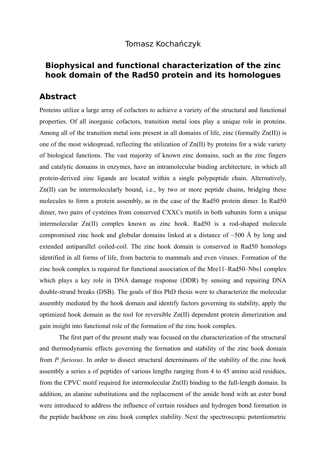## Tomasz Kochańczyk

## **Biophysical and functional characterization of the zinc hook domain of the Rad50 protein and its homologues**

## **Abstract**

Proteins utilize a large array of cofactors to achieve a variety of the structural and functional properties. Of all inorganic cofactors, transition metal ions play a unique role in proteins. Among all of the transition metal ions present in all domains of life, zinc (formally Zn(II)) is one of the most widespread, reflecting the utilization of Zn(II) by proteins for a wide variety of biological functions. The vast majority of known zinc domains, such as the zinc fingers and catalytic domains in enzymes, have an intramolecular binding architecture, in which all protein-derived zinc ligands are located within a single polypeptide chain. Alternatively, Zn(II) can be intermolecularly bound, i.e., by two or more peptide chains, bridging these molecules to form a protein assembly, as in the case of the Rad50 protein dimer. In Rad50 dimer, two pairs of cysteines from conserved CXXCs motifs in both subunits form a unique intermolecular Zn(II) complex known as zinc hook. Rad50 is a rod-shaped molecule compromised zinc hook and globular domains linked at a distance of  $~500$  Å by long and extended antiparallel coiled-coil. The zinc hook domain is conserved in Rad50 homologs identified in all forms of life, from bacteria to mammals and even viruses. Formation of the zinc hook complex is required for functional association of the Mre11–Rad50–Nbs1 complex which plays a key role in DNA damage response (DDR) by sensing and repairing DNA double-strand breaks (DSB). The goals of this PhD thesis were to characterize the molecular assembly mediated by the hook domain and identify factors governing its stability, apply the optimized hook domain as the tool for reversible Zn(II) dependent protein dimerization and gain insight into functional role of the formation of the zinc hook complex.

The first part of the present study was focused on the characterization of the structural and thermodynamic effects governing the formation and stability of the zinc hook domain from *P. furiosus*. In order to dissect structural determinants of the stability of the zinc hook assembly a series a of peptides of various lengths ranging from 4 to 45 amino acid residues, from the CPVC motif required for intermolecular Zn(II) binding to the full-length domain. In addition, an alanine substitutions and the replacement of the amide bond with an ester bond were introduced to address the influence of certain residues and hydrogen bond formation in the peptide backbone on zinc hook complex stability. Next the spectroscopic potentiometric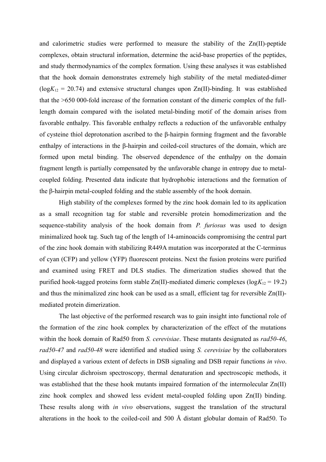and calorimetric studies were performed to measure the stability of the Zn(II)-peptide complexes, obtain structural information, determine the acid-base properties of the peptides, and study thermodynamics of the complex formation. Using these analyses it was established that the hook domain demonstrates extremely high stability of the metal mediated-dimer  $(log K_{12} = 20.74)$  and extensive structural changes upon Zn(II)-binding. It was established that the >650 000-fold increase of the formation constant of the dimeric complex of the fulllength domain compared with the isolated metal-binding motif of the domain arises from favorable enthalpy. This favorable enthalpy reflects a reduction of the unfavorable enthalpy of cysteine thiol deprotonation ascribed to the β-hairpin forming fragment and the favorable enthalpy of interactions in the β-hairpin and coiled-coil structures of the domain, which are formed upon metal binding. The observed dependence of the enthalpy on the domain fragment length is partially compensated by the unfavorable change in entropy due to metalcoupled folding. Presented data indicate that hydrophobic interactions and the formation of the β-hairpin metal-coupled folding and the stable assembly of the hook domain.

High stability of the complexes formed by the zinc hook domain led to its application as a small recognition tag for stable and reversible protein homodimerization and the sequence-stability analysis of the hook domain from *P. furiosus* was used to design minimalized hook tag. Such tag of the length of 14-aminoacids compromising the central part of the zinc hook domain with stabilizing R449A mutation was incorporated at the C-terminus of cyan (CFP) and yellow (YFP) fluorescent proteins. Next the fusion proteins were purified and examined using FRET and DLS studies. The dimerization studies showed that the purified hook-tagged proteins form stable  $Zn(II)$ -mediated dimeric complexes ( $log K_{12} = 19.2$ ) and thus the minimalized zinc hook can be used as a small, efficient tag for reversible Zn(II) mediated protein dimerization.

The last objective of the performed research was to gain insight into functional role of the formation of the zinc hook complex by characterization of the effect of the mutations within the hook domain of Rad50 from *S. cerevisiae*. These mutants designated as *rad50-46*, *rad50-47* and *rad50-48* were identified and studied using *S. cerevisiae* by the collaborators and displayed a various extent of defects in DSB signaling and DSB repair functions *in vivo*. Using circular dichroism spectroscopy, thermal denaturation and spectroscopic methods, it was established that the these hook mutants impaired formation of the intermolecular Zn(II) zinc hook complex and showed less evident metal-coupled folding upon Zn(II) binding. These results along with *in vivo* observations, suggest the translation of the structural alterations in the hook to the coiled-coil and 500 Å distant globular domain of Rad50. To